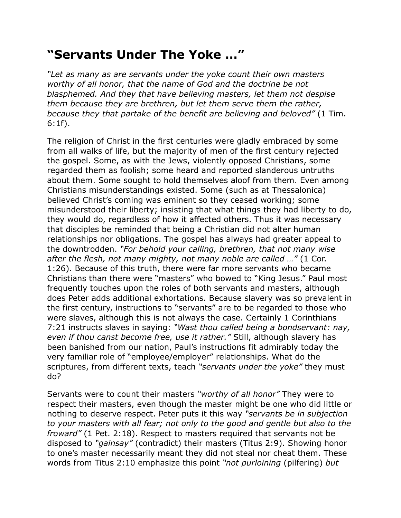## **"Servants Under The Yoke …"**

*"Let as many as are servants under the yoke count their own masters worthy of all honor, that the name of God and the doctrine be not blasphemed. And they that have believing masters, let them not despise them because they are brethren, but let them serve them the rather, because they that partake of the benefit are believing and beloved"* (1 Tim. 6:1f).

The religion of Christ in the first centuries were gladly embraced by some from all walks of life, but the majority of men of the first century rejected the gospel. Some, as with the Jews, violently opposed Christians, some regarded them as foolish; some heard and reported slanderous untruths about them. Some sought to hold themselves aloof from them. Even among Christians misunderstandings existed. Some (such as at Thessalonica) believed Christ's coming was eminent so they ceased working; some misunderstood their liberty; insisting that what things they had liberty to do, they would do, regardless of how it affected others. Thus it was necessary that disciples be reminded that being a Christian did not alter human relationships nor obligations. The gospel has always had greater appeal to the downtrodden. *"For behold your calling, brethren, that not many wise after the flesh, not many mighty, not many noble are called …"* (1 Cor. 1:26). Because of this truth, there were far more servants who became Christians than there were "masters" who bowed to "King Jesus." Paul most frequently touches upon the roles of both servants and masters, although does Peter adds additional exhortations. Because slavery was so prevalent in the first century, instructions to "servants" are to be regarded to those who were slaves, although this is not always the case. Certainly 1 Corinthians 7:21 instructs slaves in saying: *"Wast thou called being a bondservant: nay, even if thou canst become free, use it rather."* Still, although slavery has been banished from our nation, Paul's instructions fit admirably today the very familiar role of "employee/employer" relationships. What do the scriptures, from different texts, teach *"servants under the yoke"* they must do?

Servants were to count their masters *"worthy of all honor"* They were to respect their masters, even though the master might be one who did little or nothing to deserve respect. Peter puts it this way *"servants be in subjection to your masters with all fear; not only to the good and gentle but also to the froward"* (1 Pet. 2:18). Respect to masters required that servants not be disposed to *"gainsay"* (contradict) their masters (Titus 2:9). Showing honor to one's master necessarily meant they did not steal nor cheat them. These words from Titus 2:10 emphasize this point *"not purloining* (pilfering) *but*